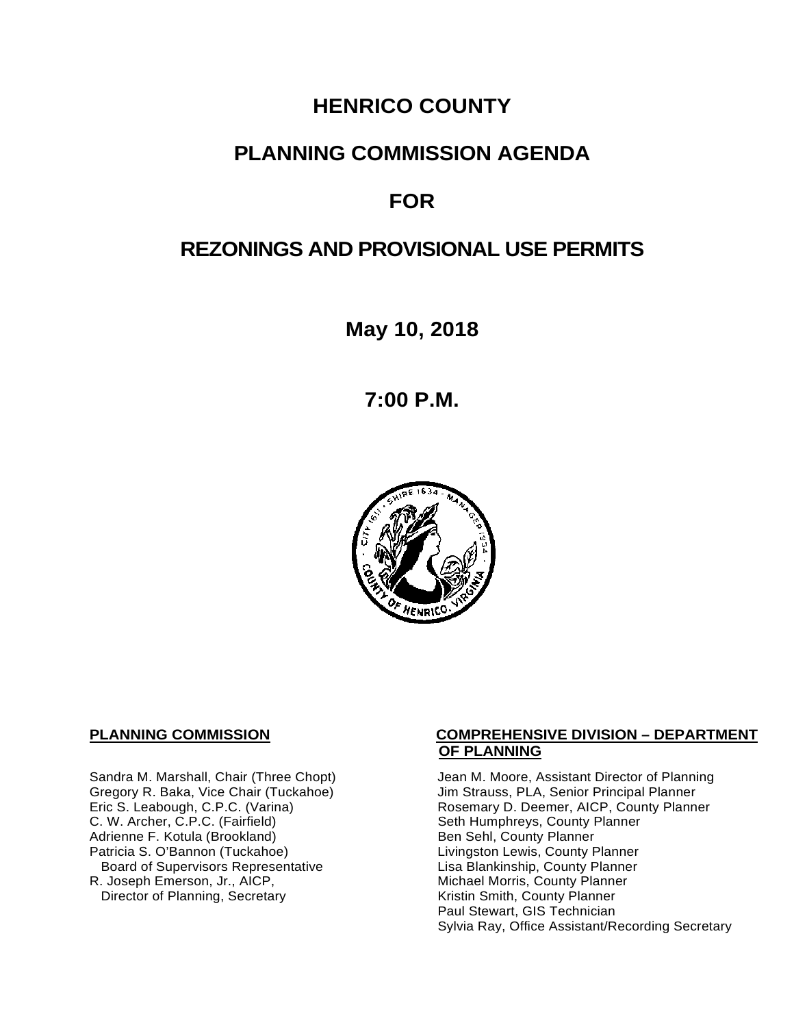# **HENRICO COUNTY**

# **PLANNING COMMISSION AGENDA**

# **FOR**

# **REZONINGS AND PROVISIONAL USE PERMITS**

**May 10, 2018**

**7:00 P.M.**



C. W. Archer, C.P.C. (Fairfield) Seth Humphreys, County I<br>Adrienne F. Kotula (Brookland) Seth Sehl, County Planner Adrienne F. Kotula (Brookland)<br>Patricia S. O'Bannon (Tuckahoe) Board of Supervisors Representative Lisa Blankinship, County Planner<br>R. Joseph Emerson, Jr., AICP, Michael Morris, County Planner Director of Planning, Secretary

#### **PLANNING COMMISSION COMPREHENSIVE DIVISION – DEPARTMENT OF PLANNING**

Sandra M. Marshall, Chair (Three Chopt) Jean M. Moore, Assistant Director of Planning<br>Gregory R. Baka, Vice Chair (Tuckahoe) Jim Strauss, PLA, Senior Principal Planner Gregory R. Baka, Vice Chair (Tuckahoe) Jim Strauss, PLA, Senior Principal Planner<br>
Eric S. Leabough, C.P.C. (Varina) Sand Brown Rosemary D. Deemer, AICP, County Planner Rosemary D. Deemer, AICP, County Planner<br>Seth Humphreys, County Planner Livingston Lewis, County Planner Michael Morris, County Planner<br>Kristin Smith, County Planner Paul Stewart, GIS Technician Sylvia Ray, Office Assistant/Recording Secretary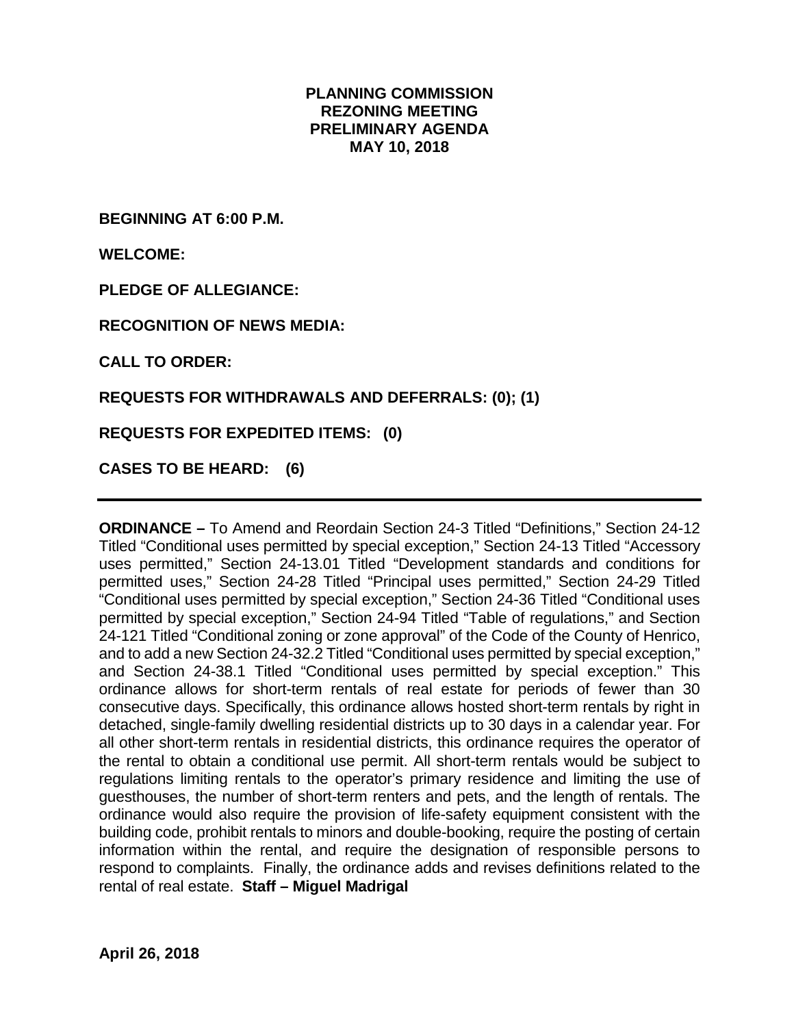#### **PLANNING COMMISSION REZONING MEETING PRELIMINARY AGENDA MAY 10, 2018**

**BEGINNING AT 6:00 P.M.**

**WELCOME:**

**PLEDGE OF ALLEGIANCE:**

**RECOGNITION OF NEWS MEDIA:**

**CALL TO ORDER:**

**REQUESTS FOR WITHDRAWALS AND DEFERRALS: (0); (1)**

**REQUESTS FOR EXPEDITED ITEMS: (0)**

**CASES TO BE HEARD: (6)**

**ORDINANCE –** To Amend and Reordain Section 24-3 Titled "Definitions," Section 24-12 Titled "Conditional uses permitted by special exception," Section 24-13 Titled "Accessory uses permitted," Section 24-13.01 Titled "Development standards and conditions for permitted uses," Section 24-28 Titled "Principal uses permitted," Section 24-29 Titled "Conditional uses permitted by special exception," Section 24-36 Titled "Conditional uses permitted by special exception," Section 24-94 Titled "Table of regulations," and Section 24-121 Titled "Conditional zoning or zone approval" of the Code of the County of Henrico, and to add a new Section 24-32.2 Titled "Conditional uses permitted by special exception," and Section 24-38.1 Titled "Conditional uses permitted by special exception." This ordinance allows for short-term rentals of real estate for periods of fewer than 30 consecutive days. Specifically, this ordinance allows hosted short-term rentals by right in detached, single-family dwelling residential districts up to 30 days in a calendar year. For all other short-term rentals in residential districts, this ordinance requires the operator of the rental to obtain a conditional use permit. All short-term rentals would be subject to regulations limiting rentals to the operator's primary residence and limiting the use of guesthouses, the number of short-term renters and pets, and the length of rentals. The ordinance would also require the provision of life-safety equipment consistent with the building code, prohibit rentals to minors and double-booking, require the posting of certain information within the rental, and require the designation of responsible persons to respond to complaints. Finally, the ordinance adds and revises definitions related to the rental of real estate. **Staff – Miguel Madrigal**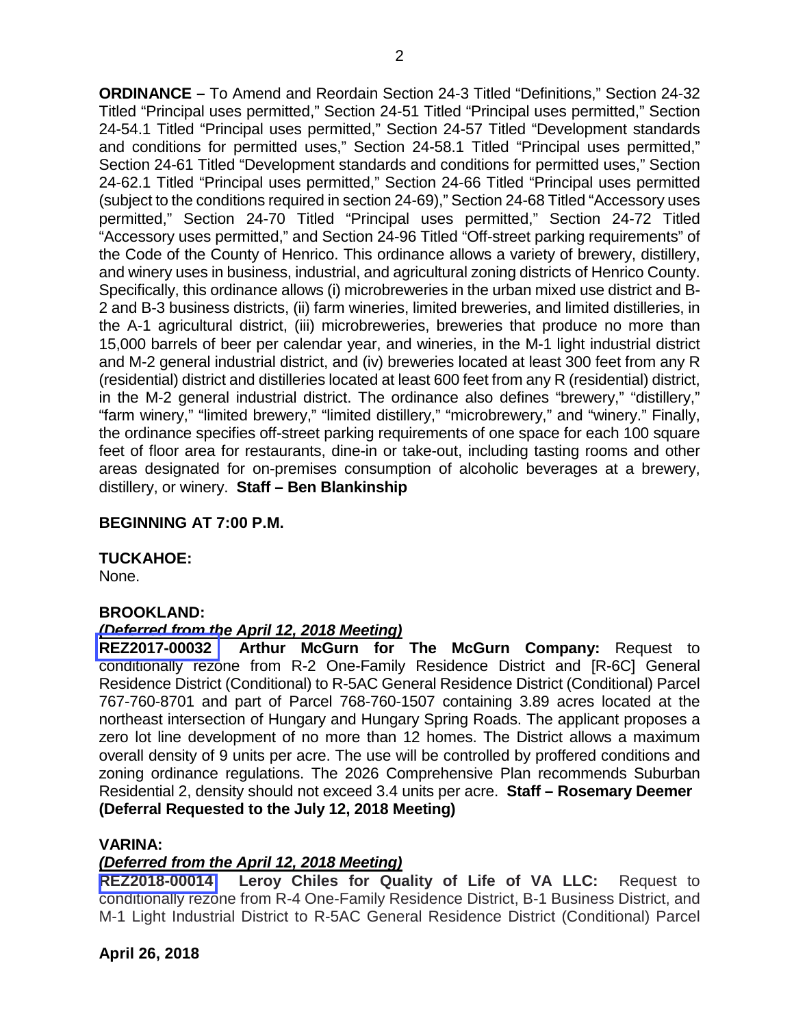**ORDINANCE –** To Amend and Reordain Section 24-3 Titled "Definitions," Section 24-32 Titled "Principal uses permitted," Section 24-51 Titled "Principal uses permitted," Section 24-54.1 Titled "Principal uses permitted," Section 24-57 Titled "Development standards and conditions for permitted uses," Section 24-58.1 Titled "Principal uses permitted," Section 24-61 Titled "Development standards and conditions for permitted uses," Section 24-62.1 Titled "Principal uses permitted," Section 24-66 Titled "Principal uses permitted (subject to the conditions required in section 24-69)," Section 24-68 Titled "Accessory uses permitted," Section 24-70 Titled "Principal uses permitted," Section 24-72 Titled "Accessory uses permitted," and Section 24-96 Titled "Off-street parking requirements" of the Code of the County of Henrico. This ordinance allows a variety of brewery, distillery, and winery uses in business, industrial, and agricultural zoning districts of Henrico County. Specifically, this ordinance allows (i) microbreweries in the urban mixed use district and B-2 and B-3 business districts, (ii) farm wineries, limited breweries, and limited distilleries, in the A-1 agricultural district, (iii) microbreweries, breweries that produce no more than 15,000 barrels of beer per calendar year, and wineries, in the M-1 light industrial district and M-2 general industrial district, and (iv) breweries located at least 300 feet from any R (residential) district and distilleries located at least 600 feet from any R (residential) district, in the M-2 general industrial district. The ordinance also defines "brewery," "distillery," "farm winery," "limited brewery," "limited distillery," "microbrewery," and "winery." Finally, the ordinance specifies off-street parking requirements of one space for each 100 square feet of floor area for restaurants, dine-in or take-out, including tasting rooms and other areas designated for on-premises consumption of alcoholic beverages at a brewery, distillery, or winery. **Staff – Ben Blankinship** 

### **BEGINNING AT 7:00 P.M.**

#### **TUCKAHOE:**

None.

#### **BROOKLAND:**

#### *(Deferred from the April 12, 2018 Meeting)*

**REZ2017-00032 Arthur McGurn for The McGurn Company:** Request to conditionally rezone from R-2 One-Family Residence District and [R-6C] General Residence District (Conditional) to R-5AC General Residence District (Conditional) Parcel 767-760-8701 and part of Parcel 768-760-1507 containing 3.89 acres located at the northeast intersection of Hungary and Hungary Spring Roads. The applicant proposes a zero lot line development of no more than 12 homes. The District allows a maximum overall density of 9 units per acre. The use will be controlled by proffered conditions and zoning ordinance regulations. The 2026 Comprehensive Plan recommends Suburban Residential 2, density should not exceed 3.4 units per acre. **Staff – Rosemary Deemer (Deferral Requested to the July 12, 2018 Meeting)**

## **VARINA:**

## *(Deferred from the April 12, 2018 Meeting)*

**REZ2018-00014 Leroy Chiles for Quality of Life of VA LLC:** Request to conditionally rezone from R-4 One-Family Residence District, B-1 Business District, and M-1 Light Industrial District to R-5AC General Residence District (Conditional) Parcel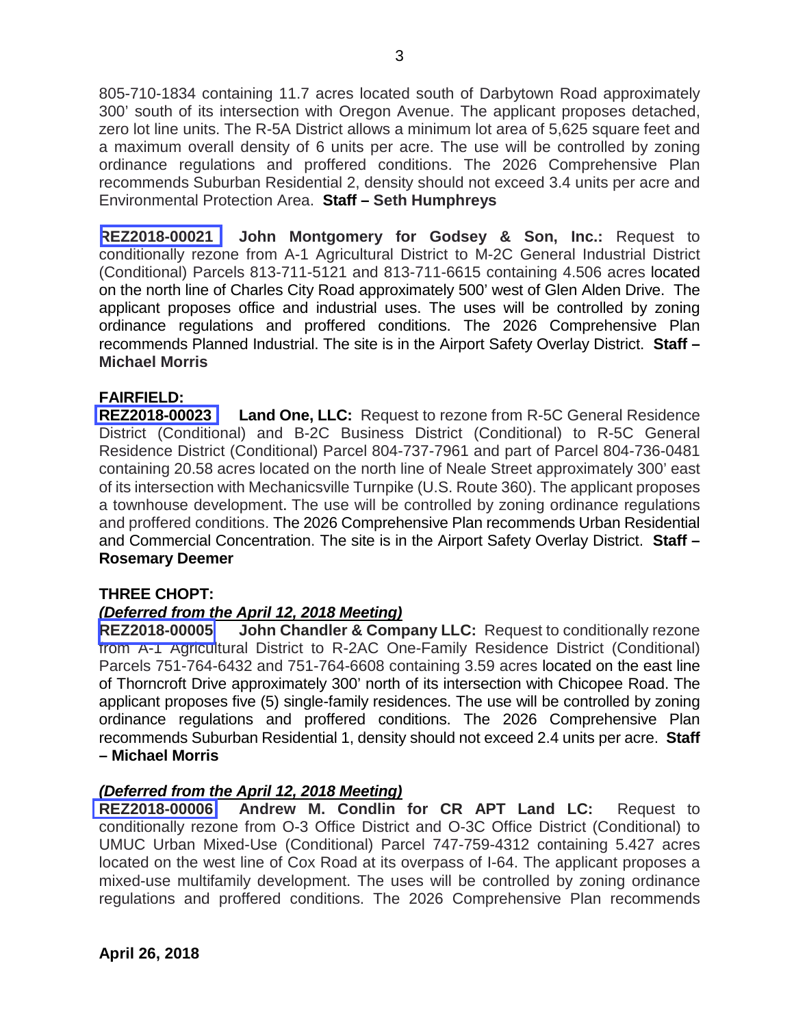805-710-1834 containing 11.7 acres located south of Darbytown Road approximately 300' south of its intersection with Oregon Avenue. The applicant proposes detached, zero lot line units. The R-5A District allows a minimum lot area of 5,625 square feet and a maximum overall density of 6 units per acre. The use will be controlled by zoning ordinance regulations and proffered conditions. The 2026 Comprehensive Plan recommends Suburban Residential 2, density should not exceed 3.4 units per acre and Environmental Protection Area. **Staff – Seth Humphreys** 

**REZ2018-00021 John Montgomery for Godsey & Son, Inc.:** Request to conditionally rezone from A-1 Agricultural District to M-2C General Industrial District (Conditional) Parcels 813-711-5121 and 813-711-6615 containing 4.506 acres located on the north line of Charles City Road approximately 500' west of Glen Alden Drive. The applicant proposes office and industrial uses. The uses will be controlled by zoning ordinance regulations and proffered conditions. The 2026 Comprehensive Plan recommends Planned Industrial. The site is in the Airport Safety Overlay District. **Staff – Michael Morris** 

#### **FAIRFIELD:**

**REZ2018-00023 Land One, LLC:** Request to rezone from R-5C General Residence District (Conditional) and B-2C Business District (Conditional) to R-5C General Residence District (Conditional) Parcel 804-737-7961 and part of Parcel 804-736-0481 containing 20.58 acres located on the north line of Neale Street approximately 300' east of its intersection with Mechanicsville Turnpike (U.S. Route 360). The applicant proposes a townhouse development. The use will be controlled by zoning ordinance regulations and proffered conditions. The 2026 Comprehensive Plan recommends Urban Residential and Commercial Concentration. The site is in the Airport Safety Overlay District. **Staff – Rosemary Deemer** 

#### **THREE CHOPT:**

#### *(Deferred from the April 12, 2018 Meeting)*

**REZ2018-00005 John Chandler & Company LLC:** Request to conditionally rezone from A-1 Agricultural District to R-2AC One-Family Residence District (Conditional) Parcels 751-764-6432 and 751-764-6608 containing 3.59 acres located on the east line of Thorncroft Drive approximately 300' north of its intersection with Chicopee Road. The applicant proposes five (5) single-family residences. The use will be controlled by zoning ordinance regulations and proffered conditions. The 2026 Comprehensive Plan recommends Suburban Residential 1, density should not exceed 2.4 units per acre. **Staff – Michael Morris**

#### *(Deferred from the April 12, 2018 Meeting)*

**REZ2018-00006 Andrew M. Condlin for CR APT Land LC:** Request to conditionally rezone from O-3 Office District and O-3C Office District (Conditional) to UMUC Urban Mixed-Use (Conditional) Parcel 747-759-4312 containing 5.427 acres located on the west line of Cox Road at its overpass of I-64. The applicant proposes a mixed-use multifamily development. The uses will be controlled by zoning ordinance regulations and proffered conditions. The 2026 Comprehensive Plan recommends